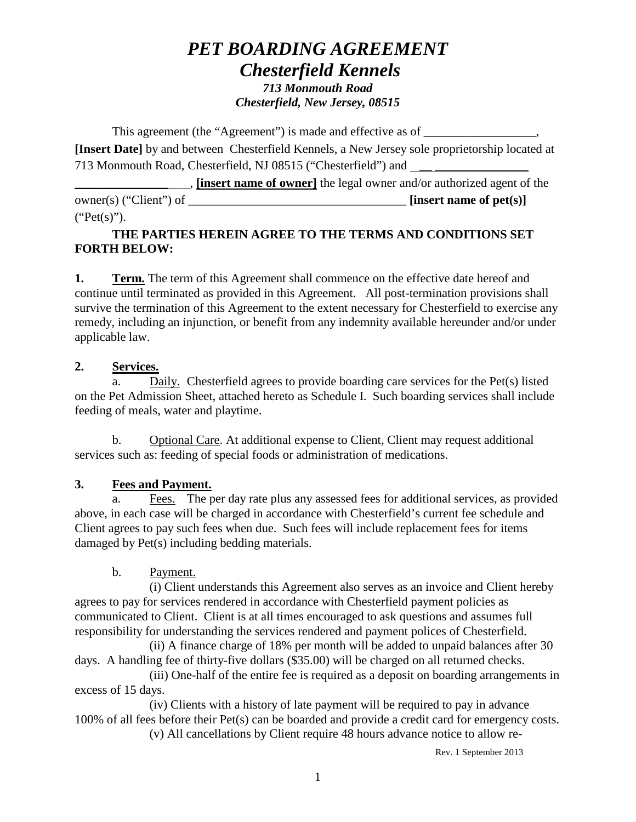# *PET BOARDING AGREEMENT Chesterfield Kennels 713 Monmouth Road Chesterfield, New Jersey, 08515*

This agreement (the "Agreement") is made and effective as of **[Insert Date]** by and between Chesterfield Kennels, a New Jersey sole proprietorship located at 713 Monmouth Road, Chesterfield, NJ 08515 ("Chesterfield") and

**Example 1** *linsert name of owner* the legal owner and/or authorized agent of the owner(s) ("Client") of \_\_\_\_\_\_\_\_\_\_\_\_\_\_\_\_\_\_\_\_\_\_\_\_\_\_\_\_\_\_\_\_\_\_\_ **[insert name of pet(s)]**   $("Pet(s)").$ 

## **THE PARTIES HEREIN AGREE TO THE TERMS AND CONDITIONS SET FORTH BELOW:**

**1. Term.** The term of this Agreement shall commence on the effective date hereof and continue until terminated as provided in this Agreement. All post-termination provisions shall survive the termination of this Agreement to the extent necessary for Chesterfield to exercise any remedy, including an injunction, or benefit from any indemnity available hereunder and/or under applicable law.

### **2. Services.**

a. Daily. Chesterfield agrees to provide boarding care services for the Pet(s) listed on the Pet Admission Sheet, attached hereto as Schedule I. Such boarding services shall include feeding of meals, water and playtime.

b. Optional Care. At additional expense to Client, Client may request additional services such as: feeding of special foods or administration of medications.

# **3. Fees and Payment.**

a. Fees. The per day rate plus any assessed fees for additional services, as provided above, in each case will be charged in accordance with Chesterfield's current fee schedule and Client agrees to pay such fees when due. Such fees will include replacement fees for items damaged by Pet(s) including bedding materials.

# b. Payment.

(i) Client understands this Agreement also serves as an invoice and Client hereby agrees to pay for services rendered in accordance with Chesterfield payment policies as communicated to Client. Client is at all times encouraged to ask questions and assumes full responsibility for understanding the services rendered and payment polices of Chesterfield.

(ii) A finance charge of 18% per month will be added to unpaid balances after 30 days. A handling fee of thirty-five dollars (\$35.00) will be charged on all returned checks.

(iii) One-half of the entire fee is required as a deposit on boarding arrangements in excess of 15 days.

(iv) Clients with a history of late payment will be required to pay in advance 100% of all fees before their Pet(s) can be boarded and provide a credit card for emergency costs. (v) All cancellations by Client require 48 hours advance notice to allow re-

Rev. 1 September 2013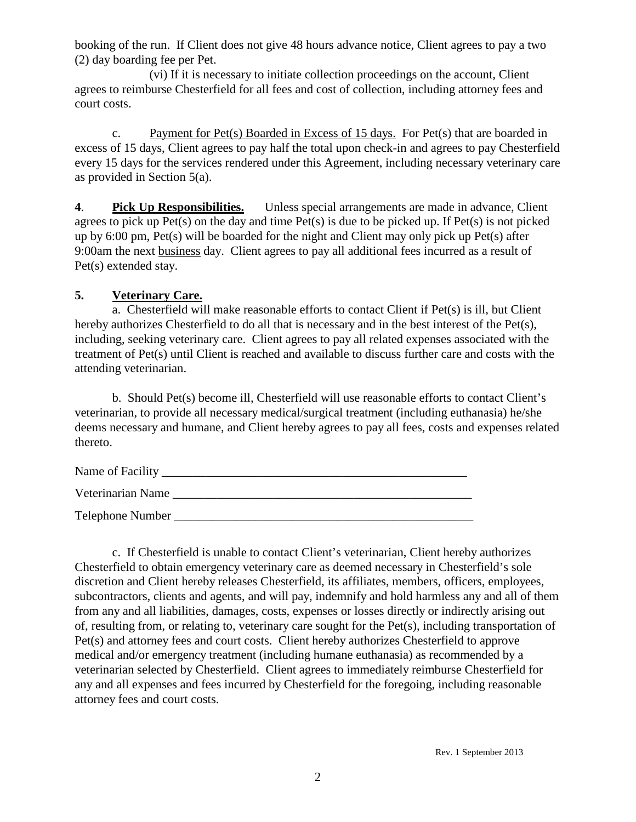booking of the run. If Client does not give 48 hours advance notice, Client agrees to pay a two (2) day boarding fee per Pet.

(vi) If it is necessary to initiate collection proceedings on the account, Client agrees to reimburse Chesterfield for all fees and cost of collection, including attorney fees and court costs.

c. Payment for Pet(s) Boarded in Excess of 15 days. For Pet(s) that are boarded in excess of 15 days, Client agrees to pay half the total upon check-in and agrees to pay Chesterfield every 15 days for the services rendered under this Agreement, including necessary veterinary care as provided in Section 5(a).

**4**. **Pick Up Responsibilities.** Unless special arrangements are made in advance, Client agrees to pick up Pet(s) on the day and time Pet(s) is due to be picked up. If Pet(s) is not picked up by 6:00 pm, Pet(s) will be boarded for the night and Client may only pick up Pet(s) after 9:00am the next business day. Client agrees to pay all additional fees incurred as a result of Pet(s) extended stay.

### **5. Veterinary Care.**

a. Chesterfield will make reasonable efforts to contact Client if Pet(s) is ill, but Client hereby authorizes Chesterfield to do all that is necessary and in the best interest of the Pet(s), including, seeking veterinary care. Client agrees to pay all related expenses associated with the treatment of Pet(s) until Client is reached and available to discuss further care and costs with the attending veterinarian.

b. Should Pet(s) become ill, Chesterfield will use reasonable efforts to contact Client's veterinarian, to provide all necessary medical/surgical treatment (including euthanasia) he/she deems necessary and humane, and Client hereby agrees to pay all fees, costs and expenses related thereto.

| Name of Facility |  |
|------------------|--|
|------------------|--|

Veterinarian Name \_\_\_\_\_\_\_\_\_\_\_\_\_\_\_\_\_\_\_\_\_\_\_\_\_\_\_\_\_\_\_\_\_\_\_\_\_\_\_\_\_\_\_\_\_\_\_\_

Telephone Number \_\_\_\_\_\_\_\_\_\_\_\_\_\_\_\_\_\_\_\_\_\_\_\_\_\_\_\_\_\_\_\_\_\_\_\_\_\_\_\_\_\_\_\_\_\_\_\_

c. If Chesterfield is unable to contact Client's veterinarian, Client hereby authorizes Chesterfield to obtain emergency veterinary care as deemed necessary in Chesterfield's sole discretion and Client hereby releases Chesterfield, its affiliates, members, officers, employees, subcontractors, clients and agents, and will pay, indemnify and hold harmless any and all of them from any and all liabilities, damages, costs, expenses or losses directly or indirectly arising out of, resulting from, or relating to, veterinary care sought for the Pet(s), including transportation of Pet(s) and attorney fees and court costs. Client hereby authorizes Chesterfield to approve medical and/or emergency treatment (including humane euthanasia) as recommended by a veterinarian selected by Chesterfield. Client agrees to immediately reimburse Chesterfield for any and all expenses and fees incurred by Chesterfield for the foregoing, including reasonable attorney fees and court costs.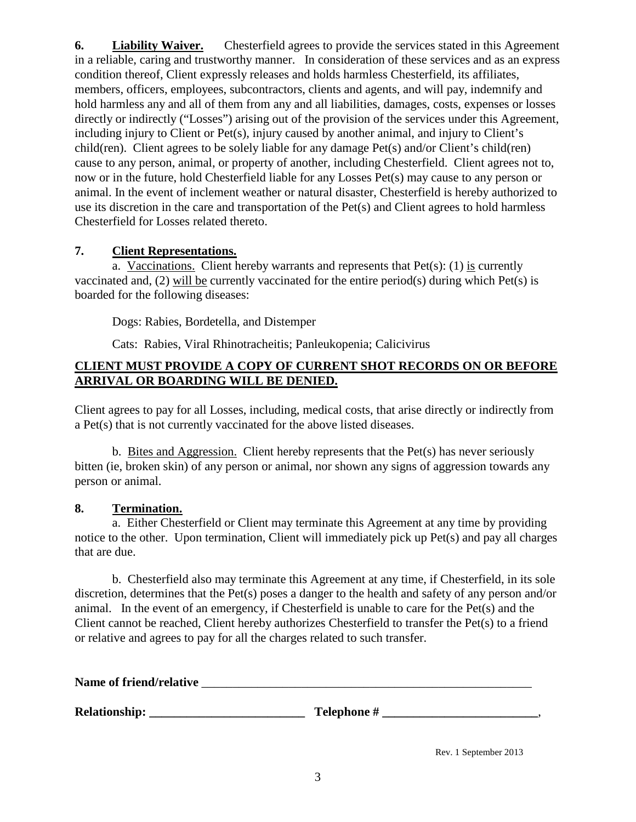**6. Liability Waiver.** Chesterfield agrees to provide the services stated in this Agreement in a reliable, caring and trustworthy manner. In consideration of these services and as an express condition thereof, Client expressly releases and holds harmless Chesterfield, its affiliates, members, officers, employees, subcontractors, clients and agents, and will pay, indemnify and hold harmless any and all of them from any and all liabilities, damages, costs, expenses or losses directly or indirectly ("Losses") arising out of the provision of the services under this Agreement, including injury to Client or Pet(s), injury caused by another animal, and injury to Client's child(ren). Client agrees to be solely liable for any damage Pet(s) and/or Client's child(ren) cause to any person, animal, or property of another, including Chesterfield. Client agrees not to, now or in the future, hold Chesterfield liable for any Losses Pet(s) may cause to any person or animal. In the event of inclement weather or natural disaster, Chesterfield is hereby authorized to use its discretion in the care and transportation of the Pet(s) and Client agrees to hold harmless Chesterfield for Losses related thereto.

#### **7. Client Representations.**

a. Vaccinations. Client hereby warrants and represents that  $Pet(s)$ : (1) is currently vaccinated and, (2) will be currently vaccinated for the entire period(s) during which Pet(s) is boarded for the following diseases:

Dogs: Rabies, Bordetella, and Distemper

Cats: Rabies, Viral Rhinotracheitis; Panleukopenia; Calicivirus

#### **CLIENT MUST PROVIDE A COPY OF CURRENT SHOT RECORDS ON OR BEFORE ARRIVAL OR BOARDING WILL BE DENIED.**

Client agrees to pay for all Losses, including, medical costs, that arise directly or indirectly from a Pet(s) that is not currently vaccinated for the above listed diseases.

b. Bites and Aggression. Client hereby represents that the  $Pet(s)$  has never seriously bitten (ie, broken skin) of any person or animal, nor shown any signs of aggression towards any person or animal.

#### **8. Termination.**

a. Either Chesterfield or Client may terminate this Agreement at any time by providing notice to the other. Upon termination, Client will immediately pick up Pet(s) and pay all charges that are due.

b. Chesterfield also may terminate this Agreement at any time, if Chesterfield, in its sole discretion, determines that the Pet(s) poses a danger to the health and safety of any person and/or animal. In the event of an emergency, if Chesterfield is unable to care for the Pet(s) and the Client cannot be reached, Client hereby authorizes Chesterfield to transfer the Pet(s) to a friend or relative and agrees to pay for all the charges related to such transfer.

| Name of friend/relative |             |  |
|-------------------------|-------------|--|
| Relationship:           | Telephone # |  |

Rev. 1 September 2013